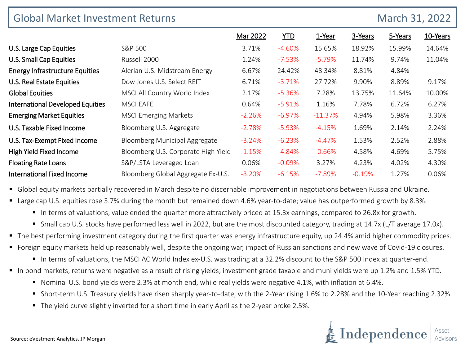| March 31, 2022<br><b>Global Market Investment Returns</b> |                                     |          |            |           |          |         |                          |
|-----------------------------------------------------------|-------------------------------------|----------|------------|-----------|----------|---------|--------------------------|
|                                                           |                                     | Mar 2022 | <b>YTD</b> | 1-Year    | 3-Years  | 5-Years | 10-Years                 |
| U.S. Large Cap Equities                                   | S&P 500                             | 3.71%    | $-4.60%$   | 15.65%    | 18.92%   | 15.99%  | 14.64%                   |
| U.S. Small Cap Equities                                   | Russell 2000                        | 1.24%    | $-7.53%$   | $-5.79%$  | 11.74%   | 9.74%   | 11.04%                   |
| <b>Energy Infrastructure Equities</b>                     | Alerian U.S. Midstream Energy       | 6.67%    | 24.42%     | 48.34%    | 8.81%    | 4.84%   | $\overline{\phantom{a}}$ |
| U.S. Real Estate Equities                                 | Dow Jones U.S. Select REIT          | 6.71%    | $-3.71%$   | 27.72%    | 9.90%    | 8.89%   | 9.17%                    |
| <b>Global Equities</b>                                    | MSCI All Country World Index        | 2.17%    | $-5.36%$   | 7.28%     | 13.75%   | 11.64%  | 10.00%                   |
| <b>International Developed Equities</b>                   | <b>MSCI EAFE</b>                    | 0.64%    | $-5.91\%$  | 1.16%     | 7.78%    | 6.72%   | 6.27%                    |
| <b>Emerging Market Equities</b>                           | <b>MSCI Emerging Markets</b>        | $-2.26%$ | $-6.97%$   | $-11.37%$ | 4.94%    | 5.98%   | 3.36%                    |
| U.S. Taxable Fixed Income                                 | Bloomberg U.S. Aggregate            | $-2.78%$ | $-5.93%$   | $-4.15%$  | 1.69%    | 2.14%   | 2.24%                    |
| U.S. Tax-Exempt Fixed Income                              | Bloomberg Municipal Aggregate       | $-3.24%$ | $-6.23%$   | $-4.47%$  | 1.53%    | 2.52%   | 2.88%                    |
| High Yield Fixed Income                                   | Bloomberg U.S. Corporate High Yield | $-1.15%$ | $-4.84%$   | $-0.66%$  | 4.58%    | 4.69%   | 5.75%                    |
| <b>Floating Rate Loans</b>                                | S&P/LSTA Leveraged Loan             | 0.06%    | $-0.09%$   | 3.27%     | 4.23%    | 4.02%   | 4.30%                    |
| <b>International Fixed Income</b>                         | Bloomberg Global Aggregate Ex-U.S.  | $-3.20%$ | $-6.15%$   | $-7.89\%$ | $-0.19%$ | 1.27%   | 0.06%                    |

Global equity markets partially recovered in March despite no discernable improvement in negotiations between Russia and Ukraine.

- Large cap U.S. equities rose 3.7% during the month but remained down 4.6% year-to-date; value has outperformed growth by 8.3%.
	- In terms of valuations, value ended the quarter more attractively priced at 15.3x earnings, compared to 26.8x for growth.
	- Small cap U.S. stocks have performed less well in 2022, but are the most discounted category, trading at 14.7x (L/T average 17.0x).
- The best performing investment category during the first quarter was energy infrastructure equity, up 24.4% amid higher commodity prices.
- Foreign equity markets held up reasonably well, despite the ongoing war, impact of Russian sanctions and new wave of Covid-19 closures.
	- In terms of valuations, the MSCI AC World Index ex-U.S. was trading at a 32.2% discount to the S&P 500 Index at quarter-end.
- In bond markets, returns were negative as a result of rising yields; investment grade taxable and muni yields were up 1.2% and 1.5% YTD.
	- Nominal U.S. bond yields were 2.3% at month end, while real yields were negative 4.1%, with inflation at 6.4%.
	- Short-term U.S. Treasury yields have risen sharply year-to-date, with the 2-Year rising 1.6% to 2.28% and the 10-Year reaching 2.32%.
	- The yield curve slightly inverted for a short time in early April as the 2-year broke 2.5%.

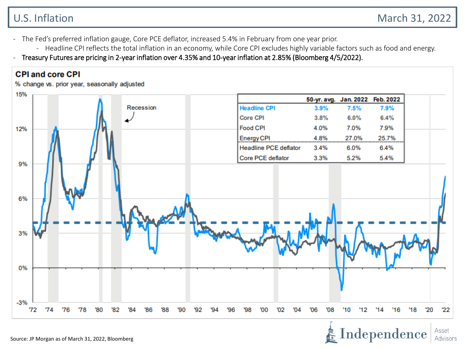Independence

Asset Advisors

- The Fed's preferred inflation gauge, Core PCE deflator, increased 5.4% in February from one year prior.
	- Headline CPI reflects the total inflation in an economy, while Core CPI excludes highly variable factors such as food and energy.
- Treasury Futures are pricing in 2-year inflation over 4.35% and 10-year inflation at 2.85% (Bloomberg 4/5/2022).

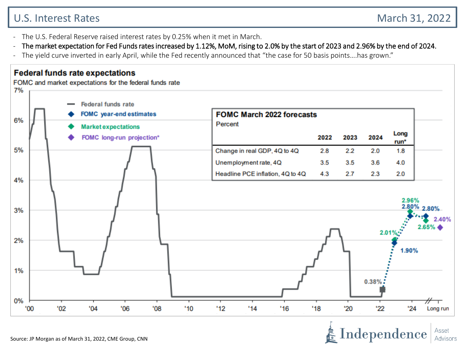## U.S. Interest Rates March 31, 2022

Asset Advisors

- The U.S. Federal Reserve raised interest rates by 0.25% when it met in March.
- The market expectation for Fed Funds rates increased by 1.12%, MoM, rising to 2.0% by the start of 2023 and 2.96% by the end of 2024.
- The yield curve inverted in early April, while the Fed recently announced that "the case for 50 basis points....has grown."

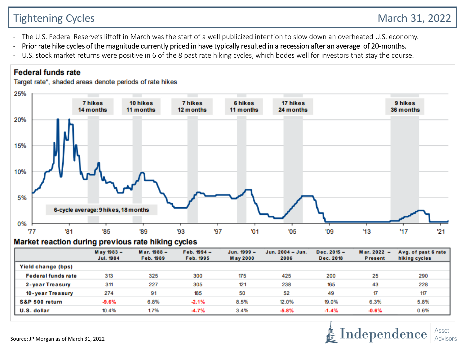# Tightening Cycles **March 31, 2022**

- The U.S. Federal Reserve's liftoff in March was the start of a well publicized intention to slow down an overheated U.S. economy.
- Prior rate hike cycles of the magnitude currently priced in have typically resulted in a recession after an average of 20-months.
- U.S. stock market returns were positive in 6 of the 8 past rate hiking cycles, which bodes well for investors that stay the course.

## **Federal funds rate**

Target rate\*, shaded areas denote periods of rate hikes



#### Market reaction during previous rate hiking cycles

|                           | May 1983 -<br>Jul. 1984 | Mar. 1988 -<br>Feb. 1989 | $Feb. 1994 -$<br>Feb. 1995 | $Jun. 1999 -$<br><b>May 2000</b> | Jun. 2004 - Jun.<br>2006 | $Dec. 2015 -$<br>Dec. 2018 | Mar. 2022<br>$\overline{\phantom{0}}$<br><b>Present</b> | Avg. of past 6 rate<br>hiking cycles |
|---------------------------|-------------------------|--------------------------|----------------------------|----------------------------------|--------------------------|----------------------------|---------------------------------------------------------|--------------------------------------|
| Yield change (bps)        |                         |                          |                            |                                  |                          |                            |                                                         |                                      |
| <b>Federal funds rate</b> | 313                     | 325                      | 300                        | 175                              | 425                      | 200                        | 25                                                      | 290                                  |
| 2-year Treasury           | 311                     | 227                      | 305                        | 121                              | 238                      | 165                        | 43                                                      | 228                                  |
| 10-year Treasury          | 274                     | 91                       | 185                        | 50                               | 52                       | 49                         | 17                                                      | 117                                  |
| S&P 500 return            | $-9.6%$                 | 6.8%                     | $-2.1%$                    | 8.5%                             | 12.0%                    | 19.0%                      | 6.3%                                                    | 5.8%                                 |
| U.S. dollar               | 10.4%                   | 1.7%                     | $-4.7%$                    | 3.4%                             | $-5.8%$                  | $-1.4%$                    | $-0.6%$                                                 | 0.6%                                 |

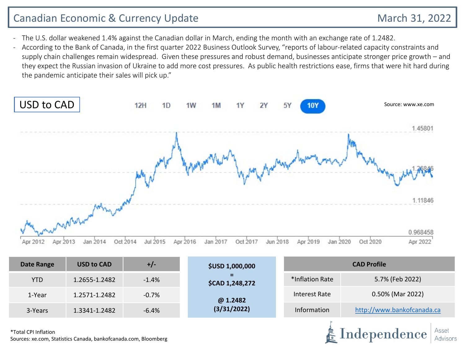## Canadian Economic & Currency Update March 31, 2022

Independence

- The U.S. dollar weakened 1.4% against the Canadian dollar in March, ending the month with an exchange rate of 1.2482.
- According to the Bank of Canada, in the first quarter 2022 Business Outlook Survey, "reports of labour-related capacity constraints and supply chain challenges remain widespread. Given these pressures and robust demand, businesses anticipate stronger price growth – and they expect the Russian invasion of Ukraine to add more cost pressures. As public health restrictions ease, firms that were hit hard during the pandemic anticipate their sales will pick up."



| Date Range | <b>USD to CAD</b> | $+/-$   | <b>\$USD 1,000,000</b>      | <b>CAD Profile</b> |                            |  |  |
|------------|-------------------|---------|-----------------------------|--------------------|----------------------------|--|--|
| <b>YTD</b> | 1.2655-1.2482     | $-1.4%$ | -<br><b>\$CAD 1,248,272</b> | *Inflation Rate    | 5.7% (Feb 2022)            |  |  |
| 1-Year     | 1.2571-1.2482     | $-0.7%$ | @ 1.2482                    | Interest Rate      | 0.50% (Mar 2022)           |  |  |
| 3-Years    | 1.3341-1.2482     | $-6.4%$ | (3/31/2022)                 | Information        | http://www.bankofcanada.ca |  |  |

\*Total CPI Inflation Sources: xe.com, Statistics Canada, bankofcanada.com, Bloomberg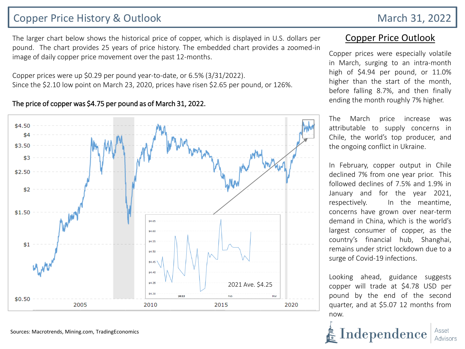## Copper Price History & Outlook March 31, 2022

The larger chart below shows the historical price of copper, which is displayed in U.S. dollars per pound. The chart provides 25 years of price history. The embedded chart provides a zoomed-in image of daily copper price movement over the past 12-months.

Copper prices were up \$0.29 per pound year-to-date, or 6.5% (3/31/2022). Since the \$2.10 low point on March 23, 2020, prices have risen \$2.65 per pound, or 126%.

#### The price of copper was \$4.75 per pound as of March 31, 2022.



## Copper Price Outlook

Copper prices were especially volatile in March, surging to an intra-month high of \$4.94 per pound, or 11.0% higher than the start of the month, before falling 8.7%, and then finally ending the month roughly 7% higher.

The March price increase was attributable to supply concerns in Chile, the world's top producer, and the ongoing conflict in Ukraine.

In February, copper output in Chile declined 7% from one year prior. This followed declines of 7.5% and 1.9% in January and for the year 2021, respectively. In the meantime, concerns have grown over near-term demand in China, which is the world's largest consumer of copper, as the country's financial hub, Shanghai, remains under strict lockdown due to a surge of Covid-19 infections.

Looking ahead, guidance suggests copper will trade at \$4.78 USD per pound by the end of the second quarter, and at \$5.07 12 months from now.

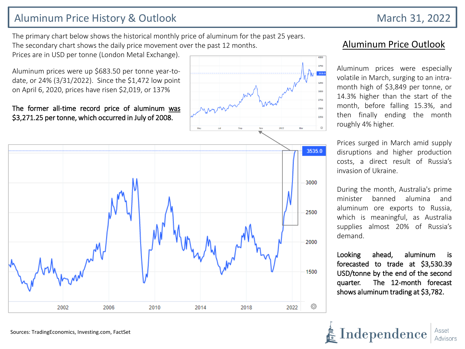## Aluminum Price History & Outlook March 31, 2022

The primary chart below shows the historical monthly price of aluminum for the past 25 years. The secondary chart shows the daily price movement over the past 12 months.

Prices are in USD per tonne (London Metal Exchange).

Aluminum prices were up \$683.50 per tonne year-todate, or 24% (3/31/2022). Since the \$1,472 low point on April 6, 2020, prices have risen \$2,019, or 137%

#### The former all-time record price of aluminum was \$3,271.25 per tonne, which occurred in July of 2008.



## Aluminum Price Outlook

Aluminum prices were especially volatile in March, surging to an intramonth high of \$3,849 per tonne, or 14.3% higher than the start of the month, before falling 15.3%, and then finally ending the month roughly 4% higher.

> Prices surged in March amid supply disruptions and higher production costs, a direct result of Russia's invasion of Ukraine.

> During the month, Australia's prime minister banned alumina and aluminum ore exports to Russia, which is meaningful, as Australia supplies almost 20% of Russia's demand.

> Looking ahead, aluminum is forecasted to trade at \$3,530.39 USD/tonne by the end of the second quarter. The 12-month forecast shows aluminum trading at \$3,782.

Independence

Sources: TradingEconomics, Investing.com, FactSet